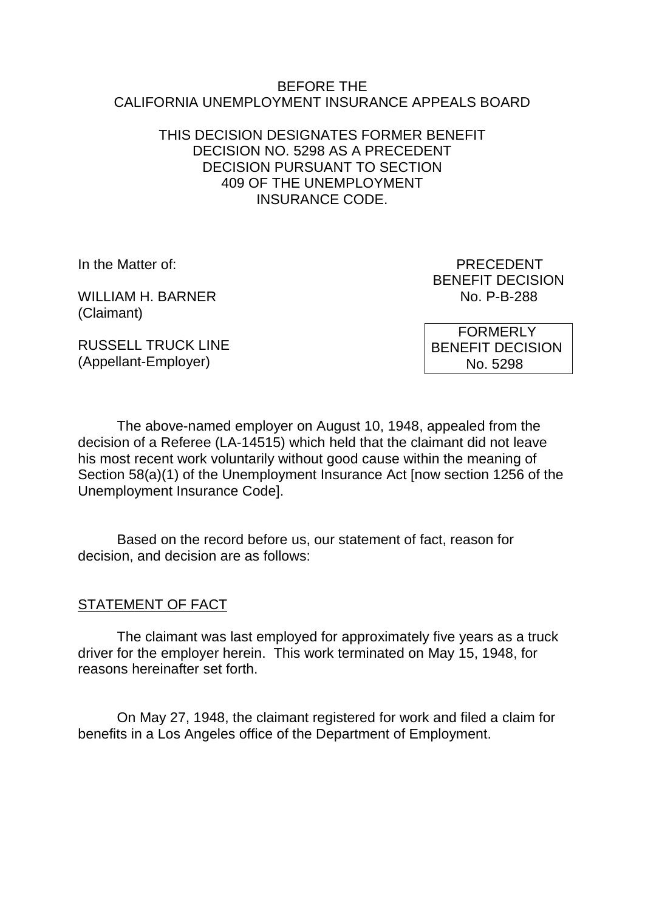#### BEFORE THE CALIFORNIA UNEMPLOYMENT INSURANCE APPEALS BOARD

### THIS DECISION DESIGNATES FORMER BENEFIT DECISION NO. 5298 AS A PRECEDENT DECISION PURSUANT TO SECTION 409 OF THE UNEMPLOYMENT INSURANCE CODE.

WILLIAM H. BARNER NO. P-B-288 (Claimant)

In the Matter of: PRECEDENT BENEFIT DECISION

RUSSELL TRUCK LINE (Appellant-Employer)

 FORMERLY BENEFIT DECISION No. 5298

The above-named employer on August 10, 1948, appealed from the decision of a Referee (LA-14515) which held that the claimant did not leave his most recent work voluntarily without good cause within the meaning of Section 58(a)(1) of the Unemployment Insurance Act [now section 1256 of the Unemployment Insurance Code].

Based on the record before us, our statement of fact, reason for decision, and decision are as follows:

#### STATEMENT OF FACT

The claimant was last employed for approximately five years as a truck driver for the employer herein. This work terminated on May 15, 1948, for reasons hereinafter set forth.

On May 27, 1948, the claimant registered for work and filed a claim for benefits in a Los Angeles office of the Department of Employment.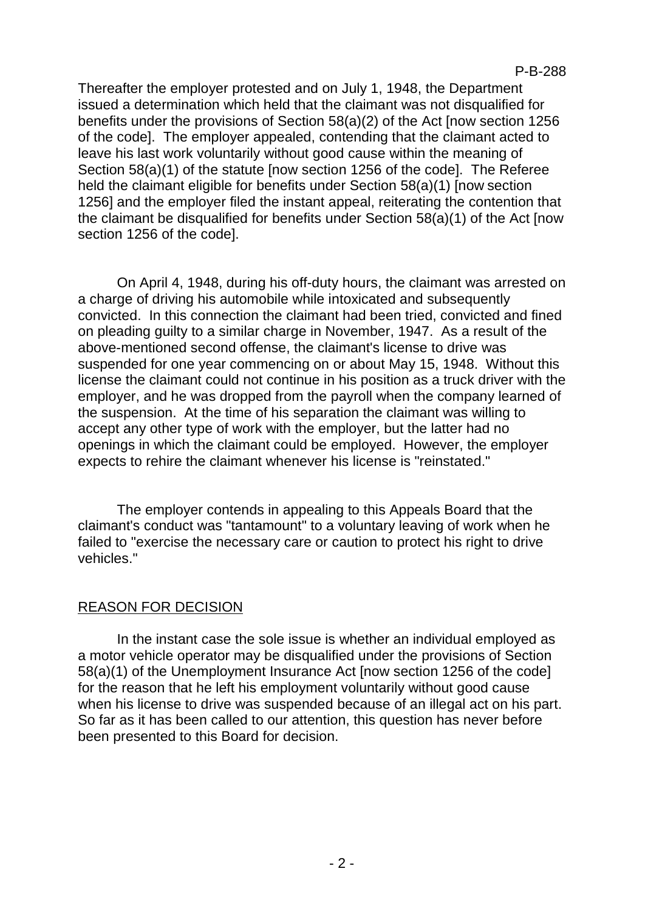Thereafter the employer protested and on July 1, 1948, the Department issued a determination which held that the claimant was not disqualified for benefits under the provisions of Section 58(a)(2) of the Act [now section 1256 of the code]. The employer appealed, contending that the claimant acted to leave his last work voluntarily without good cause within the meaning of Section 58(a)(1) of the statute [now section 1256 of the code]. The Referee held the claimant eligible for benefits under Section 58(a)(1) [now section 1256] and the employer filed the instant appeal, reiterating the contention that the claimant be disqualified for benefits under Section 58(a)(1) of the Act [now section 1256 of the code].

On April 4, 1948, during his off-duty hours, the claimant was arrested on a charge of driving his automobile while intoxicated and subsequently convicted. In this connection the claimant had been tried, convicted and fined on pleading guilty to a similar charge in November, 1947. As a result of the above-mentioned second offense, the claimant's license to drive was suspended for one year commencing on or about May 15, 1948. Without this license the claimant could not continue in his position as a truck driver with the employer, and he was dropped from the payroll when the company learned of the suspension. At the time of his separation the claimant was willing to accept any other type of work with the employer, but the latter had no openings in which the claimant could be employed. However, the employer expects to rehire the claimant whenever his license is "reinstated."

The employer contends in appealing to this Appeals Board that the claimant's conduct was "tantamount" to a voluntary leaving of work when he failed to "exercise the necessary care or caution to protect his right to drive vehicles."

# REASON FOR DECISION

In the instant case the sole issue is whether an individual employed as a motor vehicle operator may be disqualified under the provisions of Section 58(a)(1) of the Unemployment Insurance Act [now section 1256 of the code] for the reason that he left his employment voluntarily without good cause when his license to drive was suspended because of an illegal act on his part. So far as it has been called to our attention, this question has never before been presented to this Board for decision.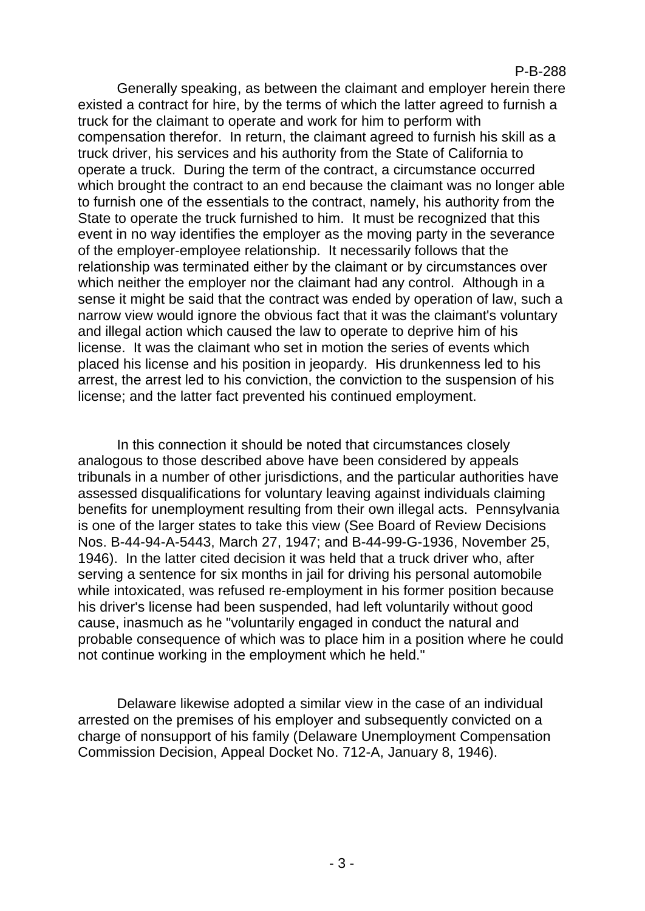#### P-B-288

Generally speaking, as between the claimant and employer herein there existed a contract for hire, by the terms of which the latter agreed to furnish a truck for the claimant to operate and work for him to perform with compensation therefor. In return, the claimant agreed to furnish his skill as a truck driver, his services and his authority from the State of California to operate a truck. During the term of the contract, a circumstance occurred which brought the contract to an end because the claimant was no longer able to furnish one of the essentials to the contract, namely, his authority from the State to operate the truck furnished to him. It must be recognized that this event in no way identifies the employer as the moving party in the severance of the employer-employee relationship. It necessarily follows that the relationship was terminated either by the claimant or by circumstances over which neither the employer nor the claimant had any control. Although in a sense it might be said that the contract was ended by operation of law, such a narrow view would ignore the obvious fact that it was the claimant's voluntary and illegal action which caused the law to operate to deprive him of his license. It was the claimant who set in motion the series of events which placed his license and his position in jeopardy. His drunkenness led to his arrest, the arrest led to his conviction, the conviction to the suspension of his license; and the latter fact prevented his continued employment.

In this connection it should be noted that circumstances closely analogous to those described above have been considered by appeals tribunals in a number of other jurisdictions, and the particular authorities have assessed disqualifications for voluntary leaving against individuals claiming benefits for unemployment resulting from their own illegal acts. Pennsylvania is one of the larger states to take this view (See Board of Review Decisions Nos. B-44-94-A-5443, March 27, 1947; and B-44-99-G-1936, November 25, 1946). In the latter cited decision it was held that a truck driver who, after serving a sentence for six months in jail for driving his personal automobile while intoxicated, was refused re-employment in his former position because his driver's license had been suspended, had left voluntarily without good cause, inasmuch as he "voluntarily engaged in conduct the natural and probable consequence of which was to place him in a position where he could not continue working in the employment which he held."

Delaware likewise adopted a similar view in the case of an individual arrested on the premises of his employer and subsequently convicted on a charge of nonsupport of his family (Delaware Unemployment Compensation Commission Decision, Appeal Docket No. 712-A, January 8, 1946).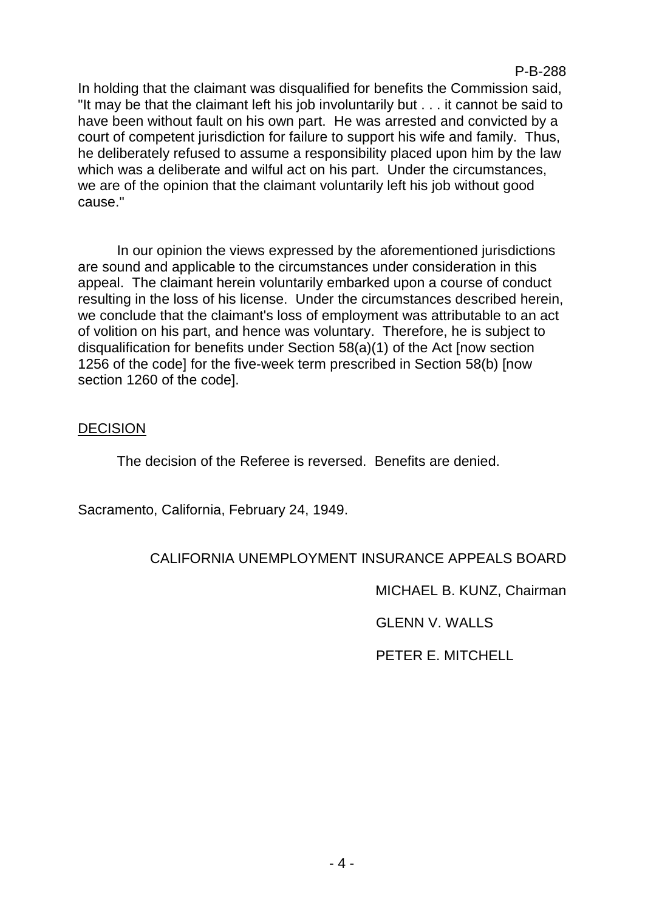P-B-288

In holding that the claimant was disqualified for benefits the Commission said, "It may be that the claimant left his job involuntarily but . . . it cannot be said to have been without fault on his own part. He was arrested and convicted by a court of competent jurisdiction for failure to support his wife and family. Thus, he deliberately refused to assume a responsibility placed upon him by the law which was a deliberate and wilful act on his part. Under the circumstances, we are of the opinion that the claimant voluntarily left his job without good cause."

In our opinion the views expressed by the aforementioned jurisdictions are sound and applicable to the circumstances under consideration in this appeal. The claimant herein voluntarily embarked upon a course of conduct resulting in the loss of his license. Under the circumstances described herein, we conclude that the claimant's loss of employment was attributable to an act of volition on his part, and hence was voluntary. Therefore, he is subject to disqualification for benefits under Section 58(a)(1) of the Act [now section 1256 of the code] for the five-week term prescribed in Section 58(b) [now section 1260 of the code].

## DECISION

The decision of the Referee is reversed. Benefits are denied.

Sacramento, California, February 24, 1949.

# CALIFORNIA UNEMPLOYMENT INSURANCE APPEALS BOARD

MICHAEL B. KUNZ, Chairman

GLENN V. WALLS

PETER E. MITCHELL